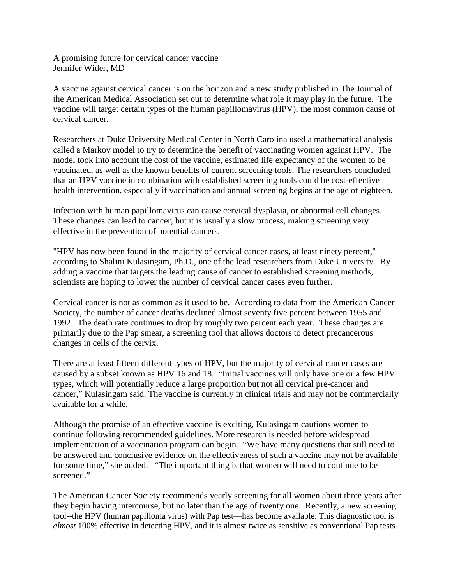A promising future for cervical cancer vaccine Jennifer Wider, MD

A vaccine against cervical cancer is on the horizon and a new study published in The Journal of the American Medical Association set out to determine what role it may play in the future. The vaccine will target certain types of the human papillomavirus (HPV), the most common cause of cervical cancer.

Researchers at Duke University Medical Center in North Carolina used a mathematical analysis called a Markov model to try to determine the benefit of vaccinating women against HPV. The model took into account the cost of the vaccine, estimated life expectancy of the women to be vaccinated, as well as the known benefits of current screening tools. The researchers concluded that an HPV vaccine in combination with established screening tools could be cost-effective health intervention, especially if vaccination and annual screening begins at the age of eighteen.

Infection with human papillomavirus can cause cervical dysplasia, or abnormal cell changes. These changes can lead to cancer, but it is usually a slow process, making screening very effective in the prevention of potential cancers.

"HPV has now been found in the majority of cervical cancer cases, at least ninety percent," according to Shalini Kulasingam, Ph.D., one of the lead researchers from Duke University. By adding a vaccine that targets the leading cause of cancer to established screening methods, scientists are hoping to lower the number of cervical cancer cases even further.

Cervical cancer is not as common as it used to be. According to data from the American Cancer Society, the number of cancer deaths declined almost seventy five percent between 1955 and 1992. The death rate continues to drop by roughly two percent each year. These changes are primarily due to the Pap smear, a screening tool that allows doctors to detect precancerous changes in cells of the cervix.

There are at least fifteen different types of HPV, but the majority of cervical cancer cases are caused by a subset known as HPV 16 and 18. "Initial vaccines will only have one or a few HPV types, which will potentially reduce a large proportion but not all cervical pre-cancer and cancer," Kulasingam said. The vaccine is currently in clinical trials and may not be commercially available for a while.

Although the promise of an effective vaccine is exciting, Kulasingam cautions women to continue following recommended guidelines. More research is needed before widespread implementation of a vaccination program can begin. "We have many questions that still need to be answered and conclusive evidence on the effectiveness of such a vaccine may not be available for some time," she added. "The important thing is that women will need to continue to be screened."

The American Cancer Society recommends yearly screening for all women about three years after they begin having intercourse, but no later than the age of twenty one. Recently, a new screening tool--the HPV (human papilloma virus) with Pap test—has become available. This diagnostic tool is *almost* 100% effective in detecting HPV, and it is almost twice as sensitive as conventional Pap tests.